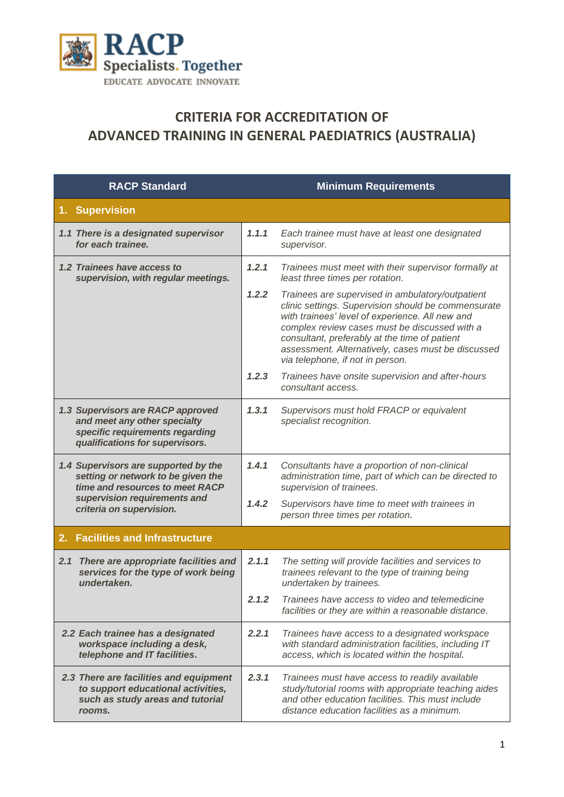

## **CRITERIA FOR ACCREDITATION OF ADVANCED TRAINING IN GENERAL PAEDIATRICS (AUSTRALIA)**

| <b>RACP Standard</b>                                                                                                                                                      |       | <b>Minimum Requirements</b>                                                                                                                                                                                                                                                                                                                            |
|---------------------------------------------------------------------------------------------------------------------------------------------------------------------------|-------|--------------------------------------------------------------------------------------------------------------------------------------------------------------------------------------------------------------------------------------------------------------------------------------------------------------------------------------------------------|
| 1. Supervision                                                                                                                                                            |       |                                                                                                                                                                                                                                                                                                                                                        |
| 1.1 There is a designated supervisor<br>for each trainee.                                                                                                                 | 1.1.1 | Each trainee must have at least one designated<br>supervisor.                                                                                                                                                                                                                                                                                          |
| 1.2 Trainees have access to<br>supervision, with regular meetings.                                                                                                        | 1.2.1 | Trainees must meet with their supervisor formally at<br>least three times per rotation.                                                                                                                                                                                                                                                                |
|                                                                                                                                                                           | 1.2.2 | Trainees are supervised in ambulatory/outpatient<br>clinic settings. Supervision should be commensurate<br>with trainees' level of experience. All new and<br>complex review cases must be discussed with a<br>consultant, preferably at the time of patient<br>assessment. Alternatively, cases must be discussed<br>via telephone, if not in person. |
|                                                                                                                                                                           | 1.2.3 | Trainees have onsite supervision and after-hours<br>consultant access.                                                                                                                                                                                                                                                                                 |
| 1.3 Supervisors are RACP approved<br>and meet any other specialty<br>specific requirements regarding<br>qualifications for supervisors.                                   | 1.3.1 | Supervisors must hold FRACP or equivalent<br>specialist recognition.                                                                                                                                                                                                                                                                                   |
| 1.4 Supervisors are supported by the<br>setting or network to be given the<br>time and resources to meet RACP<br>supervision requirements and<br>criteria on supervision. | 1.4.1 | Consultants have a proportion of non-clinical<br>administration time, part of which can be directed to<br>supervision of trainees.                                                                                                                                                                                                                     |
|                                                                                                                                                                           | 1.4.2 | Supervisors have time to meet with trainees in<br>person three times per rotation.                                                                                                                                                                                                                                                                     |
| <b>Facilities and Infrastructure</b><br>2.                                                                                                                                |       |                                                                                                                                                                                                                                                                                                                                                        |
| 2.1 There are appropriate facilities and<br>services for the type of work being<br>undertaken.                                                                            | 2.1.1 | The setting will provide facilities and services to<br>trainees relevant to the type of training being<br>undertaken by trainees.                                                                                                                                                                                                                      |
|                                                                                                                                                                           | 2.1.2 | Trainees have access to video and telemedicine<br>facilities or they are within a reasonable distance.                                                                                                                                                                                                                                                 |
| 2.2 Each trainee has a designated<br>workspace including a desk,<br>telephone and IT facilities.                                                                          | 2.2.1 | Trainees have access to a designated workspace<br>with standard administration facilities, including IT<br>access, which is located within the hospital.                                                                                                                                                                                               |
| 2.3 There are facilities and equipment<br>to support educational activities,<br>such as study areas and tutorial<br>rooms.                                                | 2.3.1 | Trainees must have access to readily available<br>study/tutorial rooms with appropriate teaching aides<br>and other education facilities. This must include<br>distance education facilities as a minimum.                                                                                                                                             |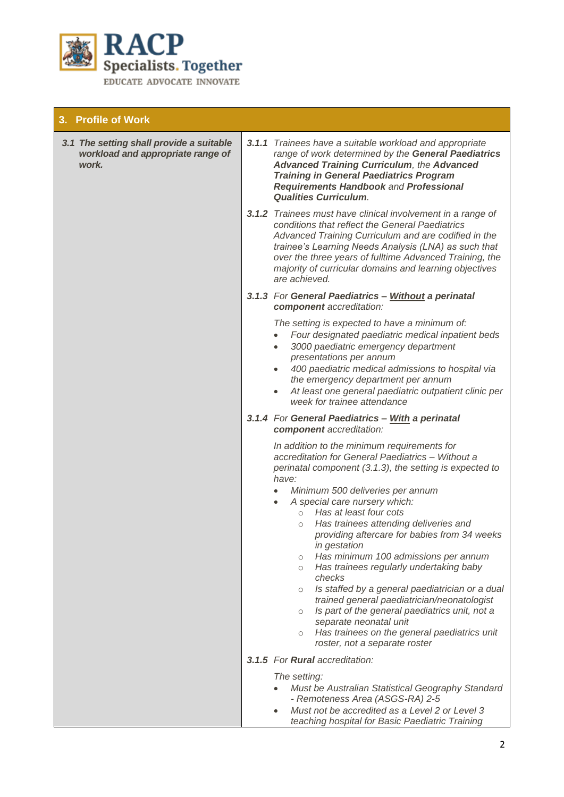

## **3. Profile of Work**

| 3.1 The setting shall provide a suitable<br>workload and appropriate range of<br>work. | 3.1.1 Trainees have a suitable workload and appropriate<br>range of work determined by the General Paediatrics<br><b>Advanced Training Curriculum, the Advanced</b><br><b>Training in General Paediatrics Program</b><br><b>Requirements Handbook and Professional</b><br><b>Qualities Curriculum.</b>                                                                                                                                                                                                                                                                                                                                                                                                                                                                                                                             |
|----------------------------------------------------------------------------------------|------------------------------------------------------------------------------------------------------------------------------------------------------------------------------------------------------------------------------------------------------------------------------------------------------------------------------------------------------------------------------------------------------------------------------------------------------------------------------------------------------------------------------------------------------------------------------------------------------------------------------------------------------------------------------------------------------------------------------------------------------------------------------------------------------------------------------------|
|                                                                                        | 3.1.2 Trainees must have clinical involvement in a range of<br>conditions that reflect the General Paediatrics<br>Advanced Training Curriculum and are codified in the<br>trainee's Learning Needs Analysis (LNA) as such that<br>over the three years of fulltime Advanced Training, the<br>majority of curricular domains and learning objectives<br>are achieved.                                                                                                                                                                                                                                                                                                                                                                                                                                                               |
|                                                                                        | 3.1.3 For General Paediatrics - Without a perinatal<br>component accreditation:                                                                                                                                                                                                                                                                                                                                                                                                                                                                                                                                                                                                                                                                                                                                                    |
|                                                                                        | The setting is expected to have a minimum of:<br>Four designated paediatric medical inpatient beds<br>$\bullet$<br>3000 paediatric emergency department<br>$\bullet$<br>presentations per annum<br>400 paediatric medical admissions to hospital via<br>the emergency department per annum<br>At least one general paediatric outpatient clinic per<br>$\bullet$<br>week for trainee attendance                                                                                                                                                                                                                                                                                                                                                                                                                                    |
|                                                                                        | 3.1.4 For General Paediatrics - With a perinatal<br>component accreditation:                                                                                                                                                                                                                                                                                                                                                                                                                                                                                                                                                                                                                                                                                                                                                       |
|                                                                                        | In addition to the minimum requirements for<br>accreditation for General Paediatrics - Without a<br>perinatal component (3.1.3), the setting is expected to<br>have:<br>Minimum 500 deliveries per annum<br>A special care nursery which:<br>Has at least four cots<br>$\circ$<br>Has trainees attending deliveries and<br>$\circlearrowright$<br>providing aftercare for babies from 34 weeks<br>in gestation<br>Has minimum 100 admissions per annum<br>Has trainees regularly undertaking baby<br>$\circ$<br>checks<br>Is staffed by a general paediatrician or a dual<br>$\circ$<br>trained general paediatrician/neonatologist<br>Is part of the general paediatrics unit, not a<br>$\circ$<br>separate neonatal unit<br>Has trainees on the general paediatrics unit<br>$\circlearrowright$<br>roster, not a separate roster |
|                                                                                        | 3.1.5 For Rural accreditation:                                                                                                                                                                                                                                                                                                                                                                                                                                                                                                                                                                                                                                                                                                                                                                                                     |
|                                                                                        | The setting:<br>Must be Australian Statistical Geography Standard<br>- Remoteness Area (ASGS-RA) 2-5<br>Must not be accredited as a Level 2 or Level 3<br>teaching hospital for Basic Paediatric Training                                                                                                                                                                                                                                                                                                                                                                                                                                                                                                                                                                                                                          |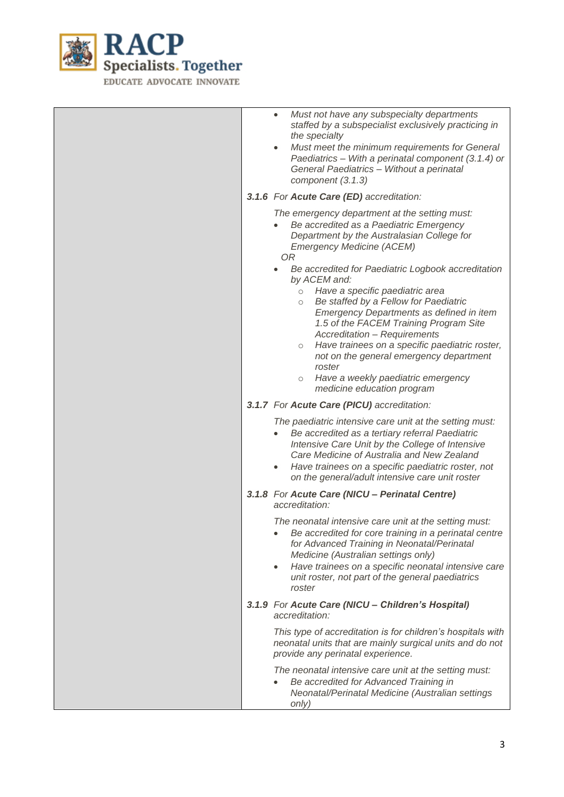

|  | Must not have any subspecialty departments<br>$\bullet$<br>staffed by a subspecialist exclusively practicing in<br>the specialty<br>Must meet the minimum requirements for General<br>$\bullet$<br>Paediatrics - With a perinatal component (3.1.4) or<br>General Paediatrics - Without a perinatal<br>component (3.1.3)                                                                                                                                                                    |
|--|---------------------------------------------------------------------------------------------------------------------------------------------------------------------------------------------------------------------------------------------------------------------------------------------------------------------------------------------------------------------------------------------------------------------------------------------------------------------------------------------|
|  | 3.1.6 For Acute Care (ED) accreditation:                                                                                                                                                                                                                                                                                                                                                                                                                                                    |
|  | The emergency department at the setting must:<br>Be accredited as a Paediatric Emergency<br>Department by the Australasian College for<br><b>Emergency Medicine (ACEM)</b><br>0R                                                                                                                                                                                                                                                                                                            |
|  | Be accredited for Paediatric Logbook accreditation<br>by ACEM and:<br>Have a specific paediatric area<br>$\circ$<br>Be staffed by a Fellow for Paediatric<br>$\circ$<br>Emergency Departments as defined in item<br>1.5 of the FACEM Training Program Site<br>Accreditation - Requirements<br>Have trainees on a specific paediatric roster,<br>$\circ$<br>not on the general emergency department<br>roster<br>Have a weekly paediatric emergency<br>$\circ$<br>medicine education program |
|  | 3.1.7 For Acute Care (PICU) accreditation:                                                                                                                                                                                                                                                                                                                                                                                                                                                  |
|  | The paediatric intensive care unit at the setting must:<br>Be accredited as a tertiary referral Paediatric<br>$\bullet$<br>Intensive Care Unit by the College of Intensive<br>Care Medicine of Australia and New Zealand<br>Have trainees on a specific paediatric roster, not<br>$\bullet$<br>on the general/adult intensive care unit roster                                                                                                                                              |
|  | 3.1.8 For Acute Care (NICU - Perinatal Centre)<br>accreditation:                                                                                                                                                                                                                                                                                                                                                                                                                            |
|  | The neonatal intensive care unit at the setting must:<br>Be accredited for core training in a perinatal centre<br>for Advanced Training in Neonatal/Perinatal<br>Medicine (Australian settings only)<br>Have trainees on a specific neonatal intensive care<br>$\bullet$<br>unit roster, not part of the general paediatrics<br>roster                                                                                                                                                      |
|  | 3.1.9 For Acute Care (NICU - Children's Hospital)<br>accreditation:                                                                                                                                                                                                                                                                                                                                                                                                                         |
|  | This type of accreditation is for children's hospitals with<br>neonatal units that are mainly surgical units and do not<br>provide any perinatal experience.                                                                                                                                                                                                                                                                                                                                |
|  | The neonatal intensive care unit at the setting must:<br>Be accredited for Advanced Training in<br>Neonatal/Perinatal Medicine (Australian settings<br>only)                                                                                                                                                                                                                                                                                                                                |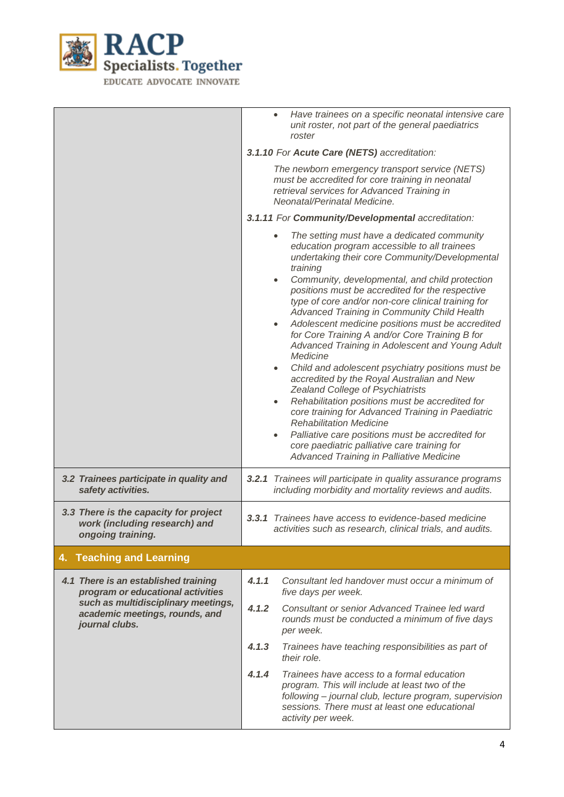

|                                                                                                                                                                      | Have trainees on a specific neonatal intensive care<br>$\bullet$<br>unit roster, not part of the general paediatrics<br>roster                                                                                                                                                                                                                                                                                                                                                                                                                                                                                                                                                                                                                                                                                                                                                                                                                                                                                                            |  |  |
|----------------------------------------------------------------------------------------------------------------------------------------------------------------------|-------------------------------------------------------------------------------------------------------------------------------------------------------------------------------------------------------------------------------------------------------------------------------------------------------------------------------------------------------------------------------------------------------------------------------------------------------------------------------------------------------------------------------------------------------------------------------------------------------------------------------------------------------------------------------------------------------------------------------------------------------------------------------------------------------------------------------------------------------------------------------------------------------------------------------------------------------------------------------------------------------------------------------------------|--|--|
|                                                                                                                                                                      | 3.1.10 For Acute Care (NETS) accreditation:                                                                                                                                                                                                                                                                                                                                                                                                                                                                                                                                                                                                                                                                                                                                                                                                                                                                                                                                                                                               |  |  |
|                                                                                                                                                                      | The newborn emergency transport service (NETS)<br>must be accredited for core training in neonatal<br>retrieval services for Advanced Training in<br>Neonatal/Perinatal Medicine.                                                                                                                                                                                                                                                                                                                                                                                                                                                                                                                                                                                                                                                                                                                                                                                                                                                         |  |  |
|                                                                                                                                                                      | 3.1.11 For Community/Developmental accreditation:                                                                                                                                                                                                                                                                                                                                                                                                                                                                                                                                                                                                                                                                                                                                                                                                                                                                                                                                                                                         |  |  |
|                                                                                                                                                                      | The setting must have a dedicated community<br>education program accessible to all trainees<br>undertaking their core Community/Developmental<br>training<br>Community, developmental, and child protection<br>$\bullet$<br>positions must be accredited for the respective<br>type of core and/or non-core clinical training for<br>Advanced Training in Community Child Health<br>Adolescent medicine positions must be accredited<br>$\bullet$<br>for Core Training A and/or Core Training B for<br>Advanced Training in Adolescent and Young Adult<br>Medicine<br>Child and adolescent psychiatry positions must be<br>$\bullet$<br>accredited by the Royal Australian and New<br>Zealand College of Psychiatrists<br>Rehabilitation positions must be accredited for<br>٠<br>core training for Advanced Training in Paediatric<br><b>Rehabilitation Medicine</b><br>Palliative care positions must be accredited for<br>$\bullet$<br>core paediatric palliative care training for<br><b>Advanced Training in Palliative Medicine</b> |  |  |
| 3.2 Trainees participate in quality and<br>safety activities.                                                                                                        | 3.2.1 Trainees will participate in quality assurance programs<br>including morbidity and mortality reviews and audits.                                                                                                                                                                                                                                                                                                                                                                                                                                                                                                                                                                                                                                                                                                                                                                                                                                                                                                                    |  |  |
| 3.3 There is the capacity for project<br>work (including research) and<br>ongoing training.                                                                          | <b>3.3.1</b> Trainees have access to evidence-based medicine<br>activities such as research, clinical trials, and audits.                                                                                                                                                                                                                                                                                                                                                                                                                                                                                                                                                                                                                                                                                                                                                                                                                                                                                                                 |  |  |
| 4. Teaching and Learning                                                                                                                                             |                                                                                                                                                                                                                                                                                                                                                                                                                                                                                                                                                                                                                                                                                                                                                                                                                                                                                                                                                                                                                                           |  |  |
| 4.1 There is an established training<br>program or educational activities<br>such as multidisciplinary meetings,<br>academic meetings, rounds, and<br>journal clubs. | 4.1.1<br>Consultant led handover must occur a minimum of<br>five days per week.                                                                                                                                                                                                                                                                                                                                                                                                                                                                                                                                                                                                                                                                                                                                                                                                                                                                                                                                                           |  |  |
|                                                                                                                                                                      | 4.1.2<br>Consultant or senior Advanced Trainee led ward<br>rounds must be conducted a minimum of five days<br>per week.                                                                                                                                                                                                                                                                                                                                                                                                                                                                                                                                                                                                                                                                                                                                                                                                                                                                                                                   |  |  |
|                                                                                                                                                                      | 4.1.3<br>Trainees have teaching responsibilities as part of<br>their role.                                                                                                                                                                                                                                                                                                                                                                                                                                                                                                                                                                                                                                                                                                                                                                                                                                                                                                                                                                |  |  |
|                                                                                                                                                                      | 4.1.4<br>Trainees have access to a formal education<br>program. This will include at least two of the<br>following – journal club, lecture program, supervision<br>sessions. There must at least one educational<br>activity per week.                                                                                                                                                                                                                                                                                                                                                                                                                                                                                                                                                                                                                                                                                                                                                                                                    |  |  |